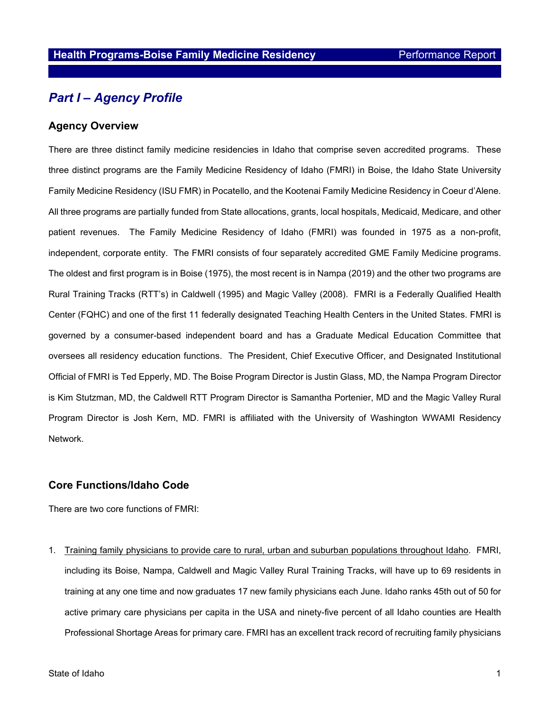## *Part I – Agency Profile*

#### **Agency Overview**

There are three distinct family medicine residencies in Idaho that comprise seven accredited programs. These three distinct programs are the Family Medicine Residency of Idaho (FMRI) in Boise, the Idaho State University Family Medicine Residency (ISU FMR) in Pocatello, and the Kootenai Family Medicine Residency in Coeur d'Alene. All three programs are partially funded from State allocations, grants, local hospitals, Medicaid, Medicare, and other patient revenues. The Family Medicine Residency of Idaho (FMRI) was founded in 1975 as a non-profit, independent, corporate entity. The FMRI consists of four separately accredited GME Family Medicine programs. The oldest and first program is in Boise (1975), the most recent is in Nampa (2019) and the other two programs are Rural Training Tracks (RTT's) in Caldwell (1995) and Magic Valley (2008). FMRI is a Federally Qualified Health Center (FQHC) and one of the first 11 federally designated Teaching Health Centers in the United States. FMRI is governed by a consumer-based independent board and has a Graduate Medical Education Committee that oversees all residency education functions. The President, Chief Executive Officer, and Designated Institutional Official of FMRI is Ted Epperly, MD. The Boise Program Director is Justin Glass, MD, the Nampa Program Director is Kim Stutzman, MD, the Caldwell RTT Program Director is Samantha Portenier, MD and the Magic Valley Rural Program Director is Josh Kern, MD. FMRI is affiliated with the University of Washington WWAMI Residency Network.

#### **Core Functions/Idaho Code**

There are two core functions of FMRI:

1. Training family physicians to provide care to rural, urban and suburban populations throughout Idaho. FMRI, including its Boise, Nampa, Caldwell and Magic Valley Rural Training Tracks, will have up to 69 residents in training at any one time and now graduates 17 new family physicians each June. Idaho ranks 45th out of 50 for active primary care physicians per capita in the USA and ninety-five percent of all Idaho counties are Health Professional Shortage Areas for primary care. FMRI has an excellent track record of recruiting family physicians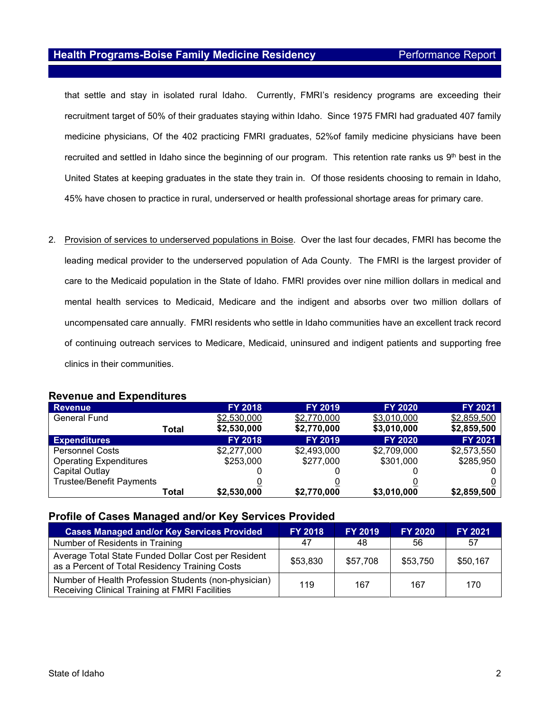that settle and stay in isolated rural Idaho. Currently, FMRI's residency programs are exceeding their recruitment target of 50% of their graduates staying within Idaho. Since 1975 FMRI had graduated 407 family medicine physicians, Of the 402 practicing FMRI graduates, 52%of family medicine physicians have been recruited and settled in Idaho since the beginning of our program. This retention rate ranks us  $9<sup>th</sup>$  best in the United States at keeping graduates in the state they train in. Of those residents choosing to remain in Idaho, 45% have chosen to practice in rural, underserved or health professional shortage areas for primary care.

2. Provision of services to underserved populations in Boise. Over the last four decades, FMRI has become the leading medical provider to the underserved population of Ada County. The FMRI is the largest provider of care to the Medicaid population in the State of Idaho. FMRI provides over nine million dollars in medical and mental health services to Medicaid, Medicare and the indigent and absorbs over two million dollars of uncompensated care annually. FMRI residents who settle in Idaho communities have an excellent track record of continuing outreach services to Medicare, Medicaid, uninsured and indigent patients and supporting free clinics in their communities.

| <b>Revenue</b>                  | <b>FY 2018</b> | <b>FY 2019</b> | <b>FY 2020</b> | <b>FY 2021</b> |
|---------------------------------|----------------|----------------|----------------|----------------|
| <b>General Fund</b>             | \$2,530,000    | \$2,770,000    | \$3,010,000    | \$2,859,500    |
| Total                           | \$2,530,000    | \$2,770,000    | \$3,010,000    | \$2,859,500    |
| <b>Expenditures</b>             | <b>FY 2018</b> | <b>FY 2019</b> | <b>FY 2020</b> | <b>FY 2021</b> |
| <b>Personnel Costs</b>          | \$2,277,000    | \$2,493,000    | \$2,709,000    | \$2,573,550    |
| <b>Operating Expenditures</b>   | \$253,000      | \$277,000      | \$301,000      | \$285,950      |
| Capital Outlay                  |                |                |                |                |
| <b>Trustee/Benefit Payments</b> |                |                |                |                |
| Total                           | \$2,530,000    | \$2,770,000    | \$3,010,000    | \$2,859,500    |

### **Revenue and Expenditures**

#### **Profile of Cases Managed and/or Key Services Provided**

| <b>Cases Managed and/or Key Services Provided</b>                                                      | <b>FY 2018</b> | <b>FY 2019</b> | <b>FY 2020</b> | <b>FY 2021</b> |
|--------------------------------------------------------------------------------------------------------|----------------|----------------|----------------|----------------|
| Number of Residents in Training                                                                        | 47             | 48             | 56             | 57             |
| Average Total State Funded Dollar Cost per Resident<br>as a Percent of Total Residency Training Costs  | \$53,830       | \$57,708       | \$53,750       | \$50,167       |
| Number of Health Profession Students (non-physician)<br>Receiving Clinical Training at FMRI Facilities | 119            | 167            | 167            | 170            |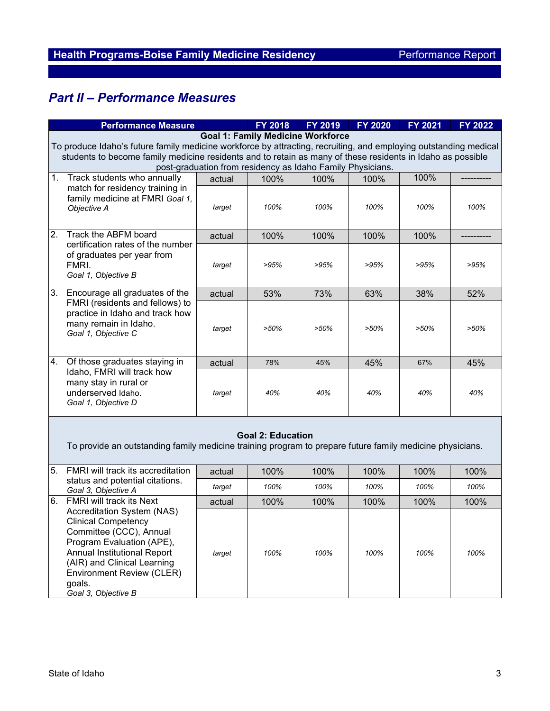# *Part II – Performance Measures*

|                                                                                                                  | <b>Performance Measure</b>                                                                                 |        | FY 2018                  | FY 2019 | <b>FY 2020</b> | <b>FY 2021</b> | FY 2022 |  |  |
|------------------------------------------------------------------------------------------------------------------|------------------------------------------------------------------------------------------------------------|--------|--------------------------|---------|----------------|----------------|---------|--|--|
| <b>Goal 1: Family Medicine Workforce</b>                                                                         |                                                                                                            |        |                          |         |                |                |         |  |  |
| To produce Idaho's future family medicine workforce by attracting, recruiting, and employing outstanding medical |                                                                                                            |        |                          |         |                |                |         |  |  |
|                                                                                                                  | students to become family medicine residents and to retain as many of these residents in Idaho as possible |        |                          |         |                |                |         |  |  |
|                                                                                                                  | post-graduation from residency as Idaho Family Physicians.                                                 |        |                          |         |                |                |         |  |  |
| 1.                                                                                                               | Track students who annually                                                                                | actual | 100%                     | 100%    | 100%           | 100%           |         |  |  |
|                                                                                                                  | match for residency training in                                                                            |        |                          |         |                |                |         |  |  |
|                                                                                                                  | family medicine at FMRI Goal 1,                                                                            |        |                          |         |                |                |         |  |  |
|                                                                                                                  | Objective A                                                                                                | target | 100%                     | 100%    | 100%           | 100%           | 100%    |  |  |
|                                                                                                                  |                                                                                                            |        |                          |         |                |                |         |  |  |
| $\overline{2}$ .                                                                                                 | Track the ABFM board                                                                                       | actual | 100%                     | 100%    | 100%           | 100%           |         |  |  |
|                                                                                                                  | certification rates of the number<br>of graduates per year from                                            |        |                          |         |                |                |         |  |  |
|                                                                                                                  |                                                                                                            |        |                          |         |                |                |         |  |  |
|                                                                                                                  | FMRI.                                                                                                      | target | >95%                     | >95%    | >95%           | >95%           | >95%    |  |  |
|                                                                                                                  | Goal 1, Objective B                                                                                        |        |                          |         |                |                |         |  |  |
| 3.                                                                                                               | Encourage all graduates of the                                                                             | actual | 53%                      | 73%     | 63%            | 38%            | 52%     |  |  |
|                                                                                                                  | FMRI (residents and fellows) to                                                                            |        |                          |         |                |                |         |  |  |
|                                                                                                                  | practice in Idaho and track how                                                                            |        |                          | $>50\%$ | $>50\%$        | $>50\%$        | >50%    |  |  |
|                                                                                                                  | many remain in Idaho.<br>Goal 1, Objective C                                                               | target | $>50\%$                  |         |                |                |         |  |  |
|                                                                                                                  |                                                                                                            |        |                          |         |                |                |         |  |  |
|                                                                                                                  |                                                                                                            |        |                          |         |                |                |         |  |  |
| 4.                                                                                                               | Of those graduates staying in                                                                              | actual | 78%                      | 45%     | 45%            | 67%            | 45%     |  |  |
|                                                                                                                  | Idaho, FMRI will track how                                                                                 |        |                          |         |                |                |         |  |  |
|                                                                                                                  | many stay in rural or                                                                                      |        |                          |         |                |                |         |  |  |
|                                                                                                                  | underserved Idaho.                                                                                         | target | 40%                      | 40%     | 40%            | 40%            | 40%     |  |  |
|                                                                                                                  | Goal 1, Objective D                                                                                        |        |                          |         |                |                |         |  |  |
|                                                                                                                  |                                                                                                            |        |                          |         |                |                |         |  |  |
|                                                                                                                  |                                                                                                            |        |                          |         |                |                |         |  |  |
|                                                                                                                  |                                                                                                            |        | <b>Goal 2: Education</b> |         |                |                |         |  |  |
|                                                                                                                  | To provide an outstanding family medicine training program to prepare future family medicine physicians.   |        |                          |         |                |                |         |  |  |
|                                                                                                                  |                                                                                                            |        |                          |         |                |                |         |  |  |
| 5.                                                                                                               | FMRI will track its accreditation<br>status and potential citations.<br>Goal 3, Objective A                | actual | 100%                     | 100%    | 100%           | 100%           | 100%    |  |  |
|                                                                                                                  |                                                                                                            | target | 100%                     | 100%    | 100%           | 100%           | 100%    |  |  |
| 6.                                                                                                               | FMRI will track its Next                                                                                   | actual | 100%                     | 100%    | 100%           | 100%           | 100%    |  |  |
|                                                                                                                  | Accreditation System (NAS)                                                                                 |        |                          |         |                |                |         |  |  |
|                                                                                                                  | <b>Clinical Competency</b>                                                                                 |        |                          |         |                |                |         |  |  |
|                                                                                                                  | Committee (CCC), Annual                                                                                    | target | 100%                     | 100%    | 100%           | 100%           | 100%    |  |  |
|                                                                                                                  | Program Evaluation (APE),                                                                                  |        |                          |         |                |                |         |  |  |
|                                                                                                                  | Annual Institutional Report                                                                                |        |                          |         |                |                |         |  |  |
|                                                                                                                  | (AIR) and Clinical Learning                                                                                |        |                          |         |                |                |         |  |  |
|                                                                                                                  | Environment Review (CLER)                                                                                  |        |                          |         |                |                |         |  |  |
|                                                                                                                  | goals.                                                                                                     |        |                          |         |                |                |         |  |  |
|                                                                                                                  | Goal 3, Objective B                                                                                        |        |                          |         |                |                |         |  |  |